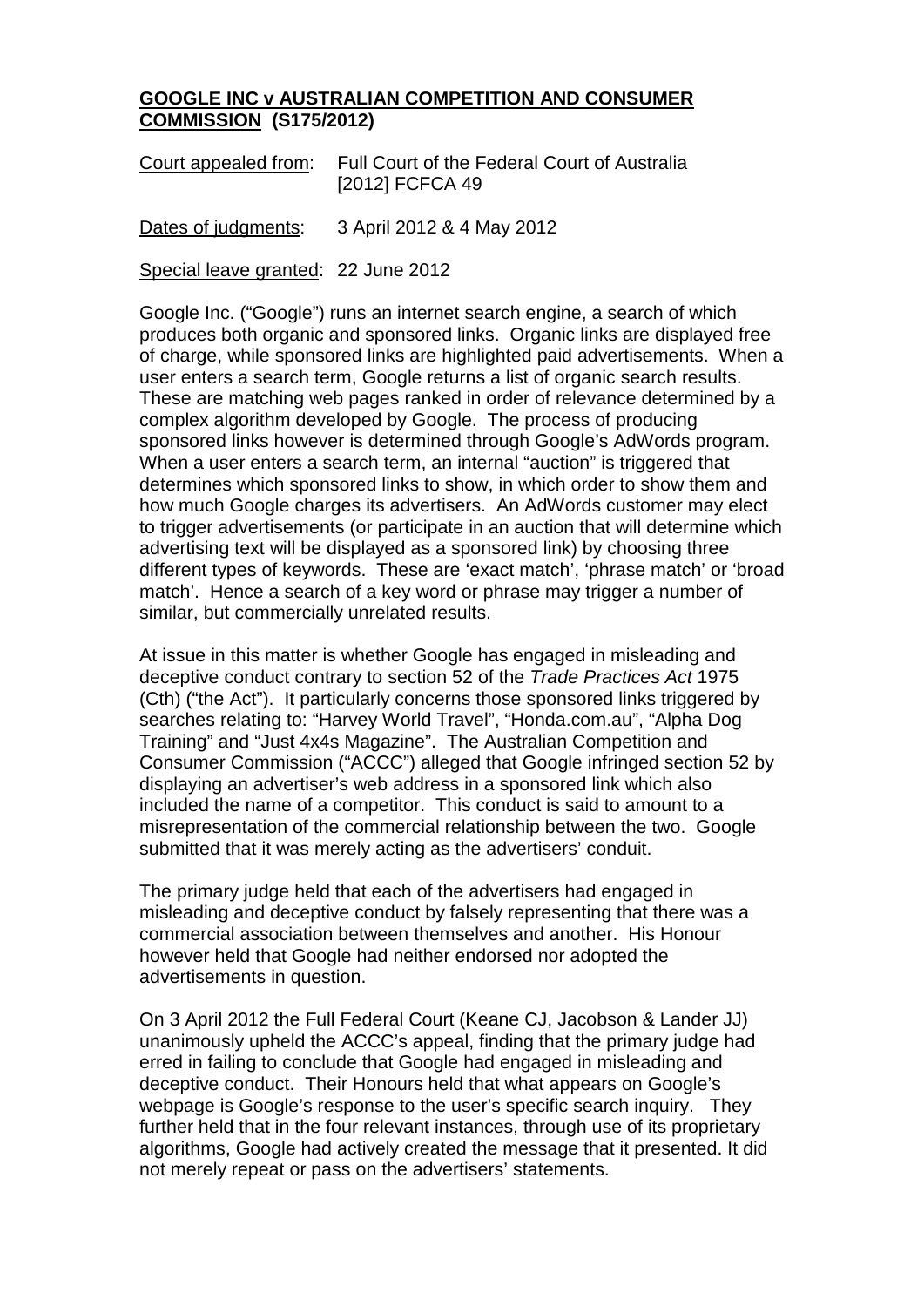## **GOOGLE INC v AUSTRALIAN COMPETITION AND CONSUMER COMMISSION (S175/2012)**

| Court appealed from: | Full Court of the Federal Court of Australia |
|----------------------|----------------------------------------------|
|                      | [2012] FCFCA 49                              |

Dates of judgments: 3 April 2012 & 4 May 2012

Special leave granted: 22 June 2012

Google Inc. ("Google") runs an internet search engine, a search of which produces both organic and sponsored links. Organic links are displayed free of charge, while sponsored links are highlighted paid advertisements. When a user enters a search term, Google returns a list of organic search results. These are matching web pages ranked in order of relevance determined by a complex algorithm developed by Google. The process of producing sponsored links however is determined through Google's AdWords program. When a user enters a search term, an internal "auction" is triggered that determines which sponsored links to show, in which order to show them and how much Google charges its advertisers. An AdWords customer may elect to trigger advertisements (or participate in an auction that will determine which advertising text will be displayed as a sponsored link) by choosing three different types of keywords. These are 'exact match', 'phrase match' or 'broad match'. Hence a search of a key word or phrase may trigger a number of similar, but commercially unrelated results.

At issue in this matter is whether Google has engaged in misleading and deceptive conduct contrary to section 52 of the *Trade Practices Act* 1975 (Cth) ("the Act"). It particularly concerns those sponsored links triggered by searches relating to: "Harvey World Travel", "Honda.com.au", "Alpha Dog Training" and "Just 4x4s Magazine". The Australian Competition and Consumer Commission ("ACCC") alleged that Google infringed section 52 by displaying an advertiser's web address in a sponsored link which also included the name of a competitor. This conduct is said to amount to a misrepresentation of the commercial relationship between the two. Google submitted that it was merely acting as the advertisers' conduit.

The primary judge held that each of the advertisers had engaged in misleading and deceptive conduct by falsely representing that there was a commercial association between themselves and another. His Honour however held that Google had neither endorsed nor adopted the advertisements in question.

On 3 April 2012 the Full Federal Court (Keane CJ, Jacobson & Lander JJ) unanimously upheld the ACCC's appeal, finding that the primary judge had erred in failing to conclude that Google had engaged in misleading and deceptive conduct. Their Honours held that what appears on Google's webpage is Google's response to the user's specific search inquiry. They further held that in the four relevant instances, through use of its proprietary algorithms, Google had actively created the message that it presented. It did not merely repeat or pass on the advertisers' statements.